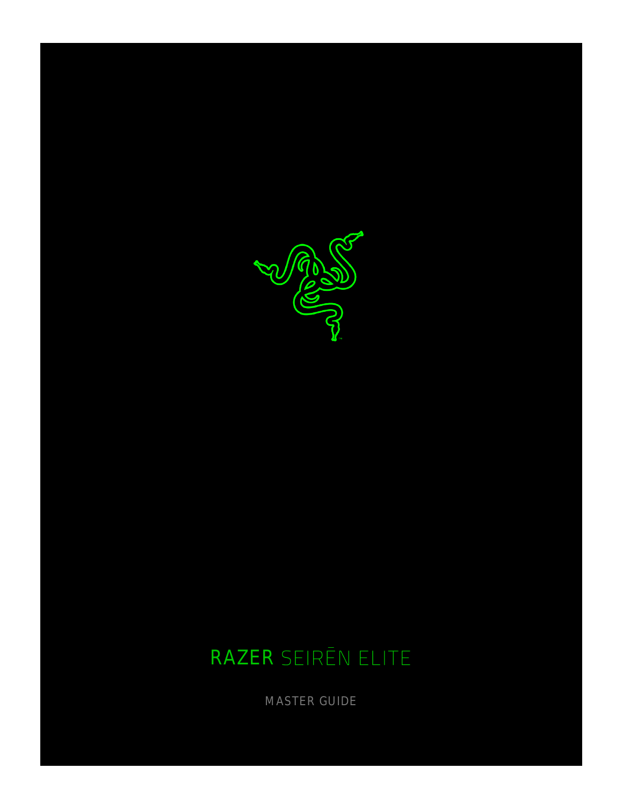

# RAZER SEIRĒN ELITE

MASTER GUIDE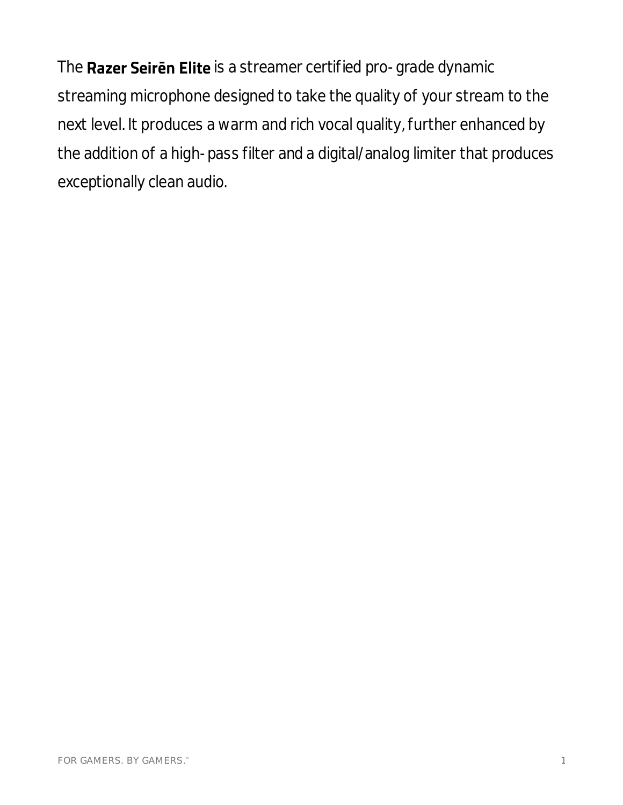The Razer Seiren Elite is a streamer certified pro-grade dynamic streaming microphone designed to take the quality of your stream to the next level. It produces a warm and rich vocal quality, further enhanced by the addition of a high-pass filter and a digital/analog limiter that produces exceptionally clean audio.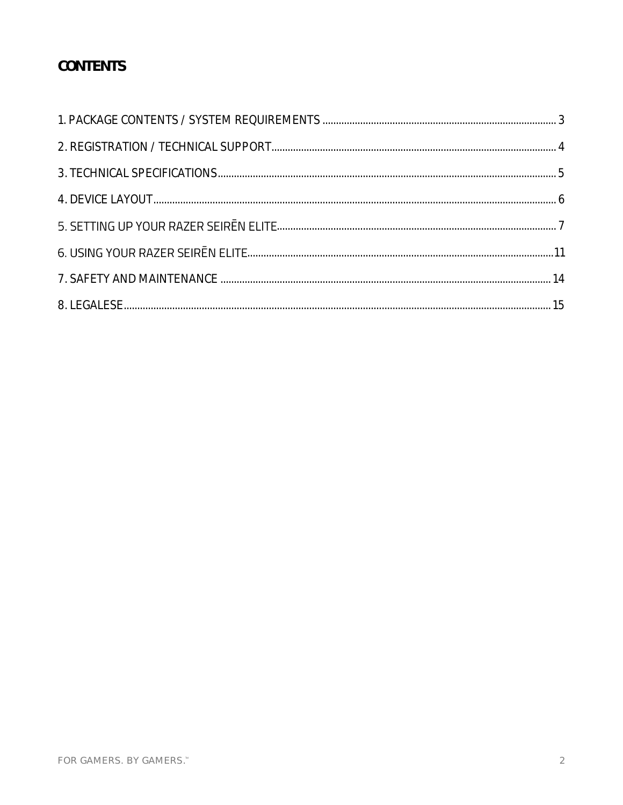# CONTENTS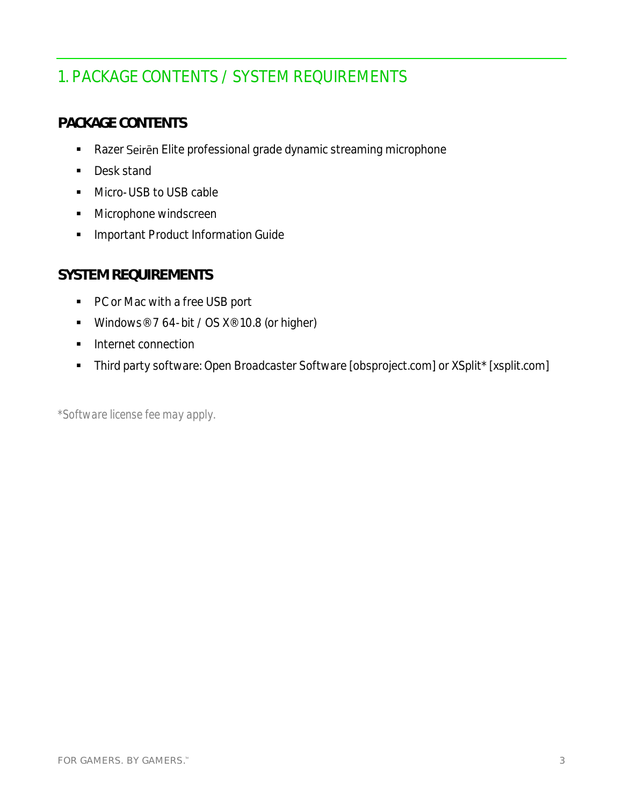# <span id="page-3-0"></span>1. PACKAGE CONTENTS / SYSTEM REQUIREMENTS

#### **PACKAGE CONTENTS**

- Razer Seiren Elite professional grade dynamic streaming microphone
- Desk stand
- Micro-USB to USB cable
- Microphone windscreen
- **·** Important Product Information Guide

#### **SYSTEM REQUIREMENTS**

- PC or Mac with a free USB port
- Windows® 7 64-bit / OS X® 10.8 (or higher)
- Internet connection
- Third party software: Open Broadcaster Software [obsproject.com] or XSplit\* [xsplit.com]

*\*Software license fee may apply.*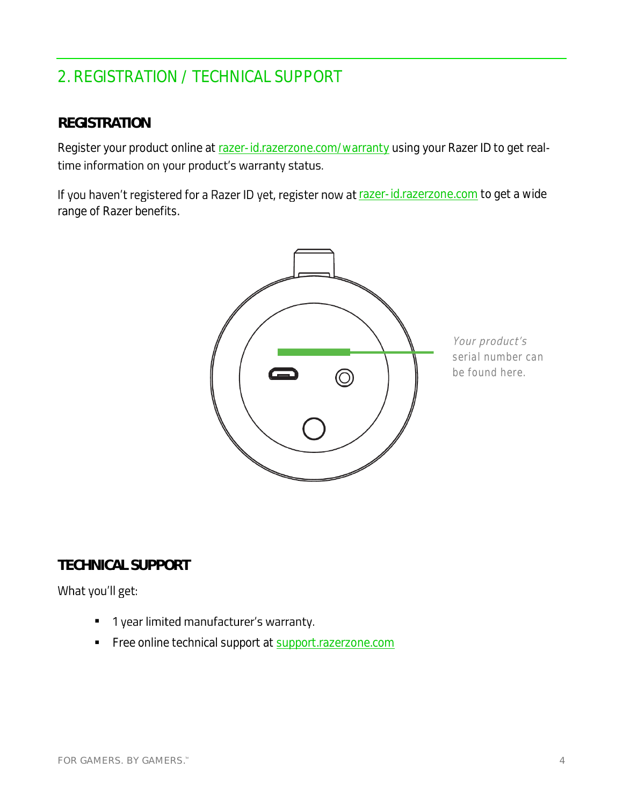# <span id="page-4-0"></span>2. REGISTRATION / TECHNICAL SUPPORT

#### **REGISTRATION**

Register your product online at razer-id.razerzone.com/warranty using your Razer ID to get realtime information on your product's warranty status.

If you haven't registered for a Razer ID yet, register now at razer-id.razerzone.com to get a wide range of Razer benefits.



Your product's *serial number can be found here.*

# **TECHNICAL SUPPORT**

#### What you'll get:

- 1 year limited manufacturer's warranty. ▪
- Free online technical support at support.razerzone.com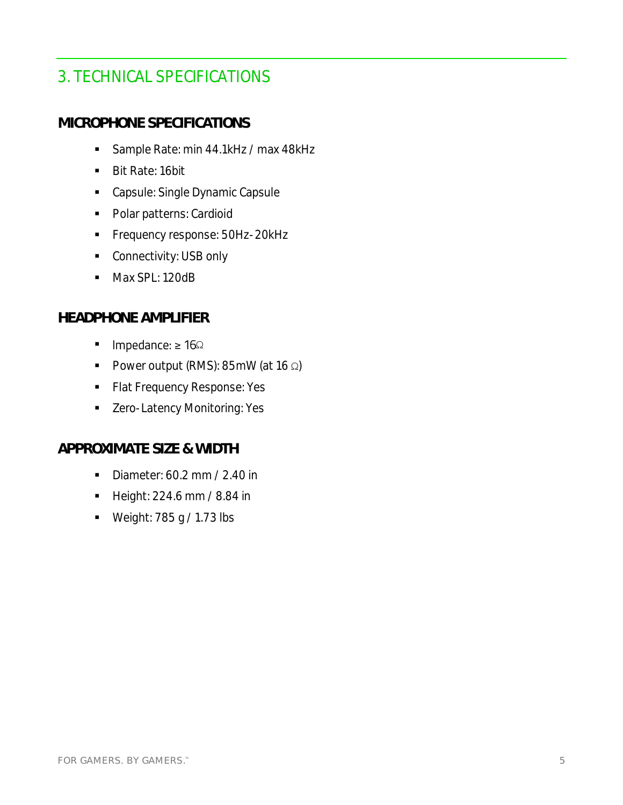# <span id="page-5-0"></span>3. TECHNICAL SPECIFICATIONS

#### **MICROPHONE SPECIFICATIONS**

- Sample Rate: min 44.1kHz / max 48kHz
- Bit Rate: 16bit
- Capsule: Single Dynamic Capsule
- Polar patterns: Cardioid
- **•** Frequency response: 50Hz-20kHz
- Connectivity: USB only
- Max SPL: 120dB

#### **HEADPHONE AMPLIFIER**

- Impedance: ≥ 16Ω
- Power output (RMS): 85mW (at 16 Ω)
- **Flat Frequency Response: Yes**
- Zero-Latency Monitoring: Yes

#### **APPROXIMATE SIZE & WIDTH**

- Diameter: 60.2 mm / 2.40 in
- Height: 224.6 mm / 8.84 in
- Weight: 785 g / 1.73 lbs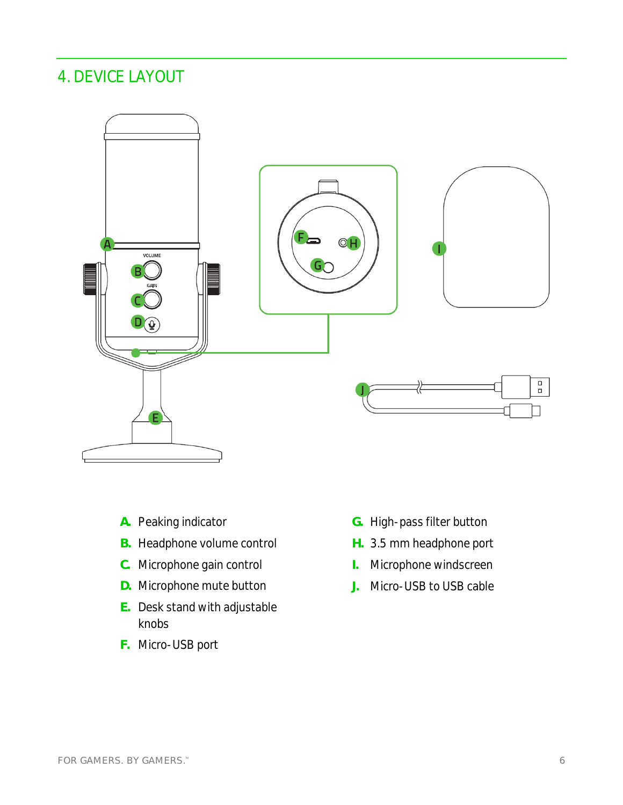# <span id="page-6-0"></span>4. DEVICE LAYOUT



- **A.** Peaking indicator
- **B.** Headphone volume control
- **C.** Microphone gain control
- **D.** Microphone mute button
- **E.** Desk stand with adjustable knobs
- **F.** Micro-USB port
- **G.** High-pass filter button
- **H.** 3.5 mm headphone port
- **I.** Microphone windscreen
- **J.** Micro-USB to USB cable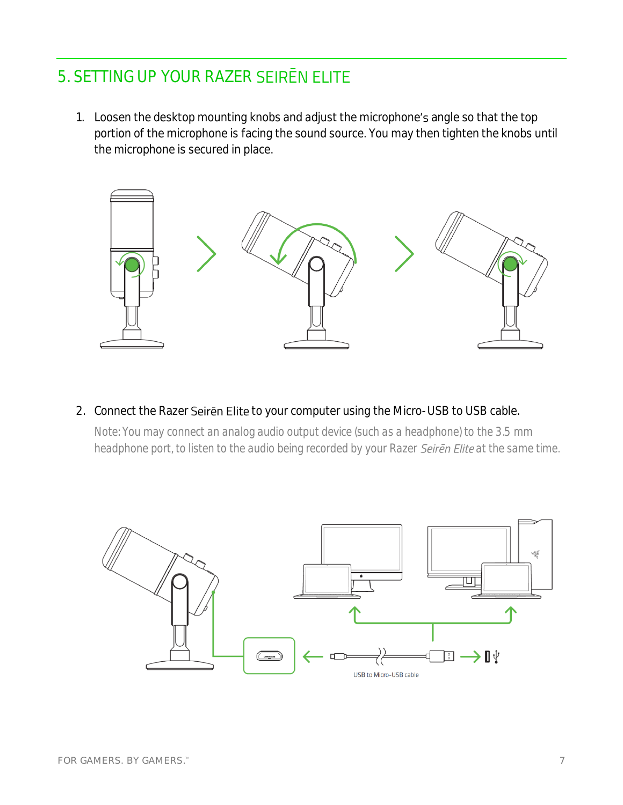# <span id="page-7-0"></span>5. SETTING UP YOUR RAZER SEIREN ELITE

1. Loosen the desktop mounting knobs and adjust the microphone's angle so that the top portion of the microphone is facing the sound source. You may then tighten the knobs until the microphone is secured in place.



2. Connect the Razer Seiren Elite to your computer using the Micro-USB to USB cable.

*Note: You may connect an analog audio output device (such as a headphone) to the 3.5 mm headphone port, to listen to the audio being recorded by your Razer Seiren Elite at the same time.* 

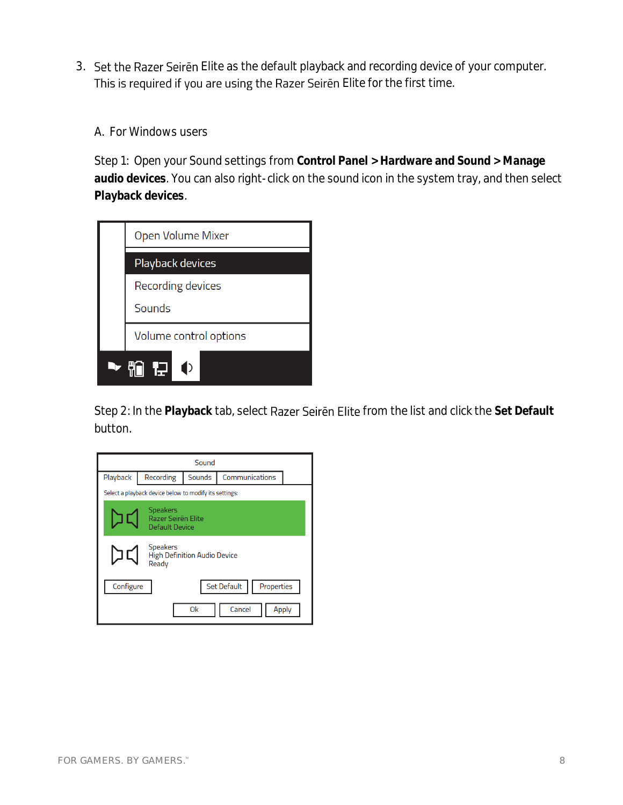- 3. Set the Razer Seiren Elite as the default playback and recording device of your computer. This is required if you are using the Razer Seiren Elite for the first time.
	- A. For Windows users

Step 1: Open your Sound settings from **Control Panel > Hardware and Sound > Manage audio devices**. You can also right-click on the sound icon in the system tray, and then select **Playback devices**.

| Open Volume Mixer      |  |  |  |
|------------------------|--|--|--|
| Playback devices       |  |  |  |
| Recording devices      |  |  |  |
| Sounds                 |  |  |  |
| Volume control options |  |  |  |
| ŢJ                     |  |  |  |

Step 2: In the Playback tab, select Razer Seiren Elite from the list and click the Set Default button.

| Sound                                                           |                                                        |                                 |  |  |  |  |
|-----------------------------------------------------------------|--------------------------------------------------------|---------------------------------|--|--|--|--|
| Playback                                                        | Recording                                              | Communications<br><b>Sounds</b> |  |  |  |  |
|                                                                 | Select a playback device below to modify its settings: |                                 |  |  |  |  |
| <b>Speakers</b><br>Razer Seiren Elite<br>Default Device         |                                                        |                                 |  |  |  |  |
| <b>Speakers</b><br><b>High Definition Audio Device</b><br>Ready |                                                        |                                 |  |  |  |  |
| <b>Set Default</b><br>Properties<br>Configure                   |                                                        |                                 |  |  |  |  |
| Cancel<br>0k<br>Apply                                           |                                                        |                                 |  |  |  |  |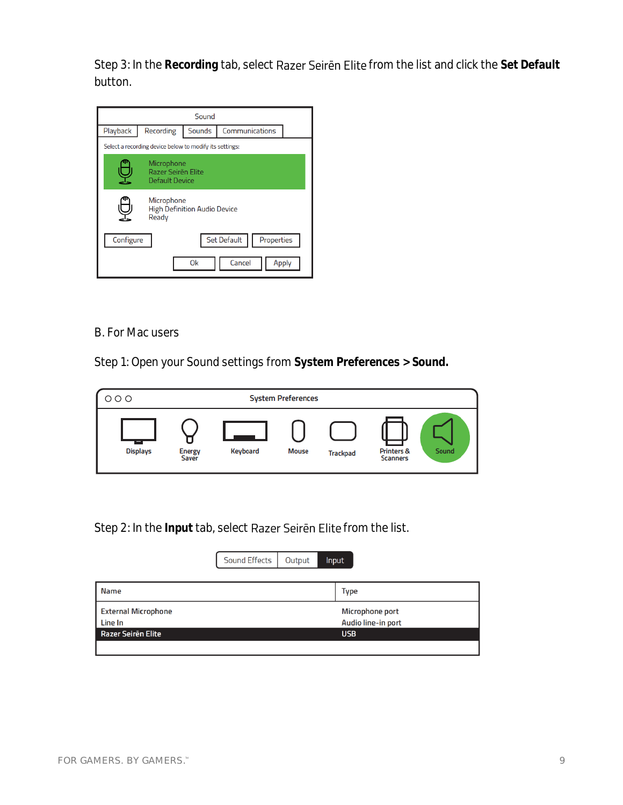Step 3: In the Recording tab, select Razer Seiren Elite from the list and click the Set Default button.

| Sound                                                                  |                                                         |                          |  |  |  |  |
|------------------------------------------------------------------------|---------------------------------------------------------|--------------------------|--|--|--|--|
| Playback                                                               | Recording                                               | Communications<br>Sounds |  |  |  |  |
|                                                                        | Select a recording device below to modify its settings: |                          |  |  |  |  |
| Microphone<br>Razer Seiren Elite<br>Default Device                     |                                                         |                          |  |  |  |  |
| Microphone<br><b>High Definition Audio Device</b><br>Ready             |                                                         |                          |  |  |  |  |
| <b>Set Default</b><br>Properties<br>Configure<br>Cancel<br>0k<br>Apply |                                                         |                          |  |  |  |  |

#### B. For Mac users

Step 1: Open your Sound settings from **System Preferences > Sound.**

| $\circ\circ\circ$ | <b>System Preferences</b> |          |              |                 |                                          |       |
|-------------------|---------------------------|----------|--------------|-----------------|------------------------------------------|-------|
| <b>Displays</b>   | Energy<br>Saver           | Keyboard | <b>Mouse</b> | <b>Trackpad</b> | <b>Printers &amp;</b><br><b>Scanners</b> | Sound |

Step 2: In the Input tab, select Razer Seiren Elite from the list.

|                            | Sound Effects | Output | <b>Input</b>       |
|----------------------------|---------------|--------|--------------------|
|                            |               |        |                    |
| Name                       |               |        | Type               |
| <b>External Microphone</b> |               |        | Microphone port    |
| Line In                    |               |        | Audio line-in port |
| Razer Seiren Elite         |               |        | <b>USB</b>         |
|                            |               |        |                    |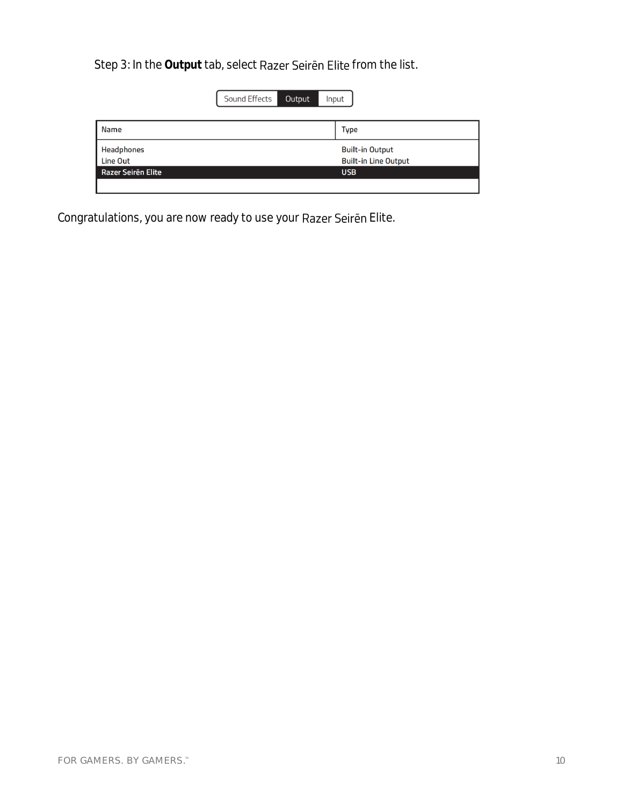Step 3: In the Output tab, select Razer Seiren Elite from the list.

|                    | <b>Sound Effects</b><br>Output<br>Input |                             |
|--------------------|-----------------------------------------|-----------------------------|
| <b>Name</b>        |                                         | <b>Type</b>                 |
| <b>Headphones</b>  |                                         | <b>Built-in Output</b>      |
| Line Out           |                                         | <b>Built-in Line Output</b> |
| Razer Seiren Elite |                                         | <b>USB</b>                  |
|                    |                                         |                             |

Congratulations, you are now ready to use your Razer Seiren Elite.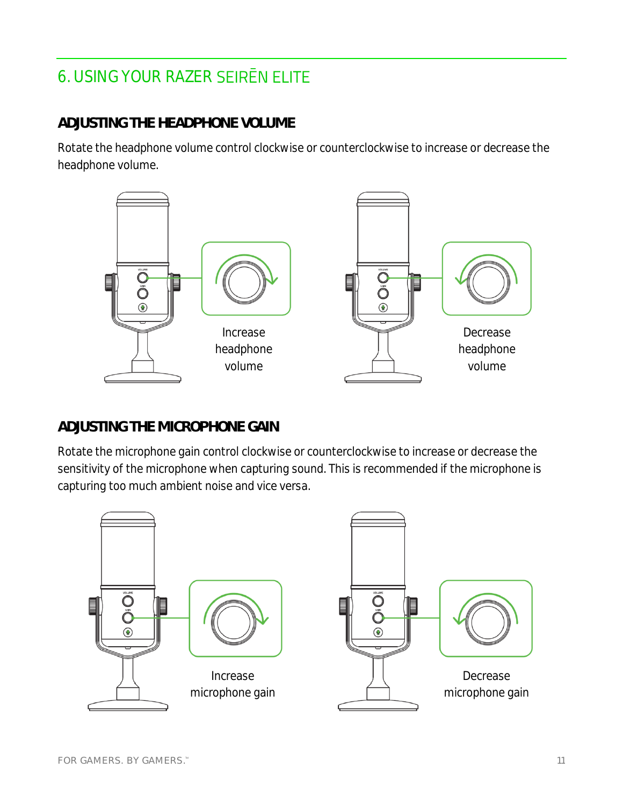# <span id="page-11-0"></span>6. USING YOUR RAZER

## **ADJUSTING THE HEADPHONE VOLUME**

Rotate the headphone volume control clockwise or counterclockwise to increase or decrease the headphone volume.



## **ADJUSTING THE MICROPHONE GAIN**

Rotate the microphone gain control clockwise or counterclockwise to increase or decrease the sensitivity of the microphone when capturing sound. This is recommended if the microphone is capturing too much ambient noise and vice versa.

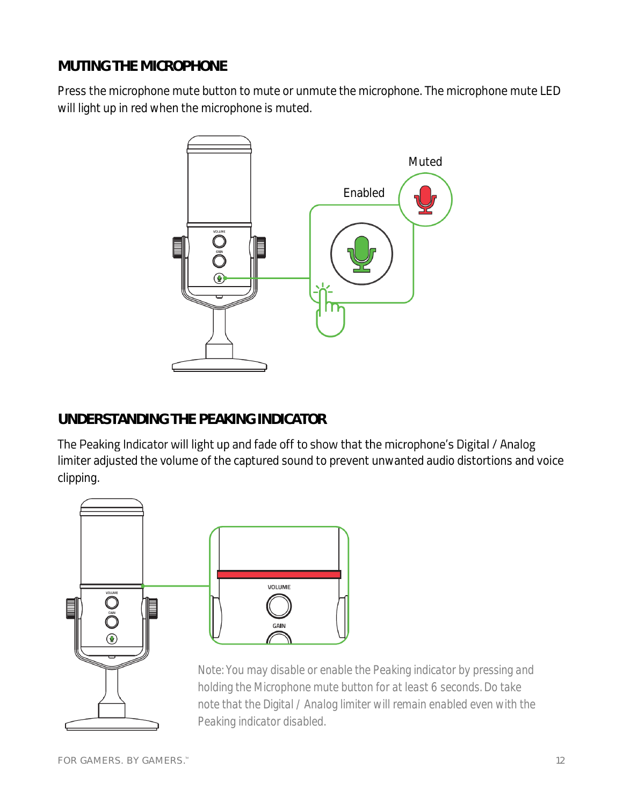## **MUTING THE MICROPHONE**

Press the microphone mute button to mute or unmute the microphone. The microphone mute LED will light up in red when the microphone is muted.



# **UNDERSTANDING THE PEAKING INDICATOR**

The Peaking Indicator will light up and fade off to show that the microphone's Digital / Analog limiter adjusted the volume of the captured sound to prevent unwanted audio distortions and voice clipping.



*Note: You may disable or enable the Peaking indicator by pressing and holding the Microphone mute button for at least 6 seconds. Do take note that the Digital / Analog limiter will remain enabled even with the Peaking indicator disabled.*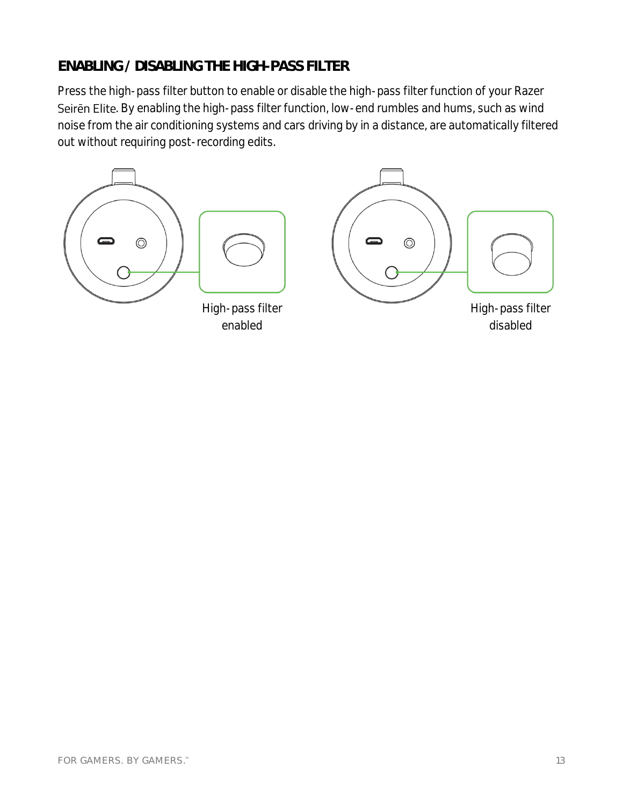## **ENABLING / DISABLING THE HIGH-PASS FILTER**

Press the high-pass filter button to enable or disable the high-pass filter function of your Razer Seiren Elite. By enabling the high-pass filter function, low-end rumbles and hums, such as wind noise from the air conditioning systems and cars driving by in a distance, are automatically filtered out without requiring post-recording edits.

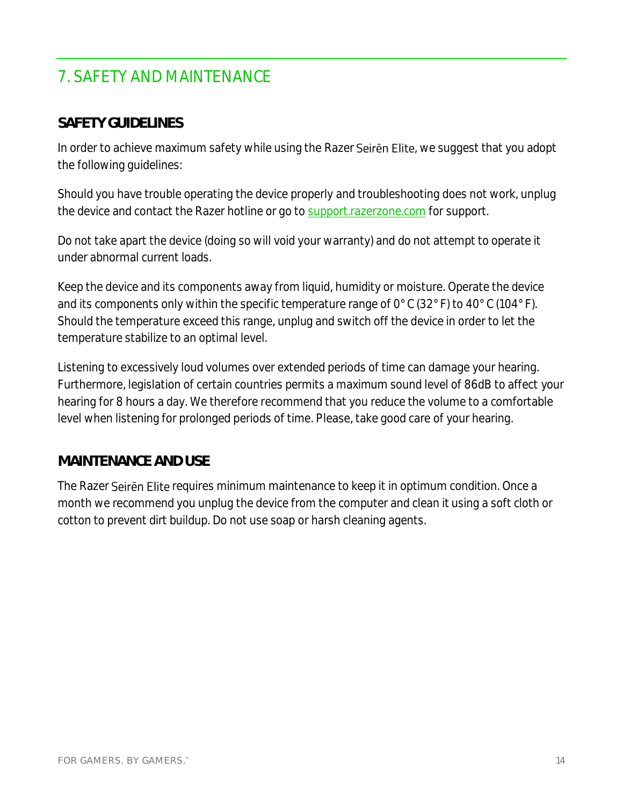# <span id="page-14-0"></span>7. SAFETY AND MAINTENANCE

#### **SAFETY GUIDELINES**

In order to achieve maximum safety while using the Razer Seiren Elite, we suggest that you adopt the following guidelines:

Should you have trouble operating the device properly and troubleshooting does not work, unplug the device and contact the Razer hotline or go to support.razerzone.com for support.

Do not take apart the device (doing so will void your warranty) and do not attempt to operate it under abnormal current loads.

Keep the device and its components away from liquid, humidity or moisture. Operate the device and its components only within the specific temperature range of 0°C (32°F) to 40°C (104°F). Should the temperature exceed this range, unplug and switch off the device in order to let the temperature stabilize to an optimal level.

Listening to excessively loud volumes over extended periods of time can damage your hearing. Furthermore, legislation of certain countries permits a maximum sound level of 86dB to affect your hearing for 8 hours a day. We therefore recommend that you reduce the volume to a comfortable level when listening for prolonged periods of time. Please, take good care of your hearing.

#### **MAINTENANCE AND USE**

The Razer Seiren Elite requires minimum maintenance to keep it in optimum condition. Once a month we recommend you unplug the device from the computer and clean it using a soft cloth or cotton to prevent dirt buildup. Do not use soap or harsh cleaning agents.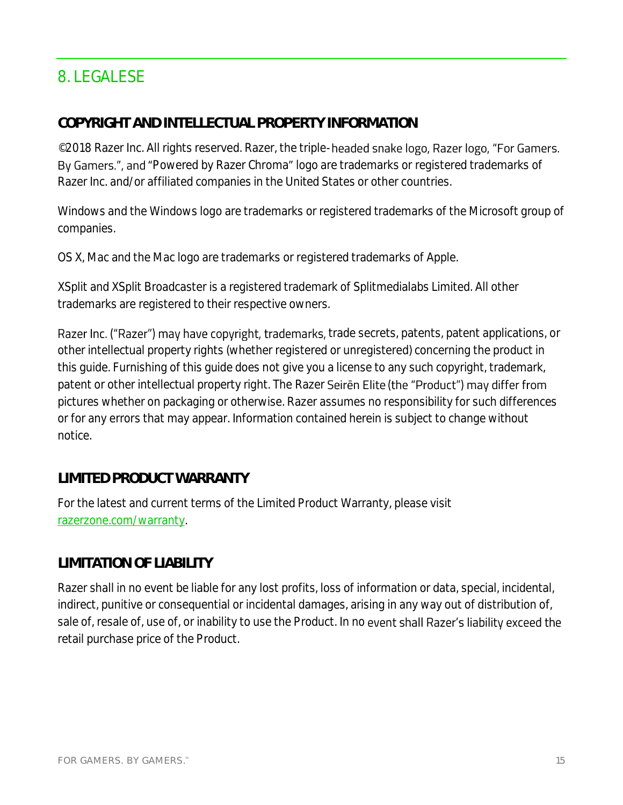# <span id="page-15-0"></span>8. LEGALESE

#### **COPYRIGHT AND INTELLECTUAL PROPERTY INFORMATION**

©2018 Razer Inc. All rights reserved. Razer, the triple-headed snake logo, Razer logo, "For Gamers. By Gamers.", and "Powered by Razer Chroma" logo are trademarks or registered trademarks of Razer Inc. and/or affiliated companies in the United States or other countries.

Windows and the Windows logo are trademarks or registered trademarks of the Microsoft group of companies.

OS X, Mac and the Mac logo are trademarks or registered trademarks of Apple.

XSplit and XSplit Broadcaster is a registered trademark of Splitmedialabs Limited. All other trademarks are registered to their respective owners.

Razer Inc. ("Razer") may have copyright, trademarks, trade secrets, patents, patent applications, or other intellectual property rights (whether registered or unregistered) concerning the product in this guide. Furnishing of this guide does not give you a license to any such copyright, trademark, patent or other intellectual property right. The Razer Seiren Elite (the "Product") may differ from pictures whether on packaging or otherwise. Razer assumes no responsibility for such differences or for any errors that may appear. Information contained herein is subject to change without notice.

## **LIMITED PRODUCT WARRANTY**

For the latest and current terms of the Limited Product Warranty, please visit [razerzone.com/warranty.](http://www.razerzone.com/warranty)

## **LIMITATION OF LIABILITY**

Razer shall in no event be liable for any lost profits, loss of information or data, special, incidental, indirect, punitive or consequential or incidental damages, arising in any way out of distribution of, sale of, resale of, use of, or inability to use the Product. In no event shall Razer's liability exceed the retail purchase price of the Product.